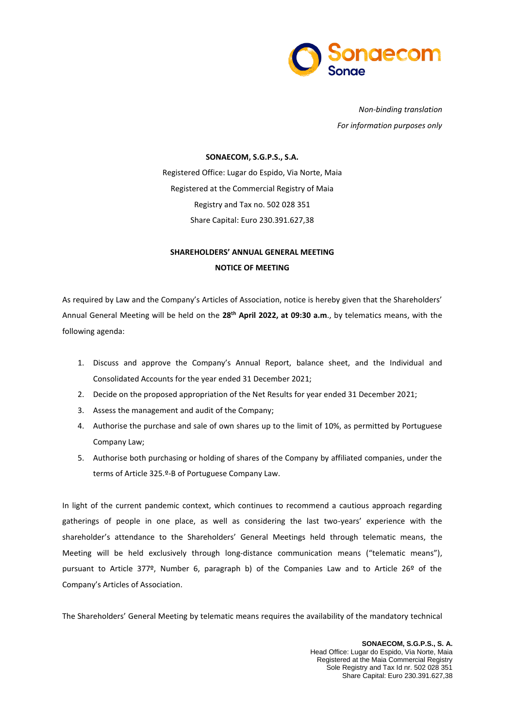

*Non-binding translation For information purposes only*

## **SONAECOM, S.G.P.S., S.A.**

Registered Office: Lugar do Espido, Via Norte, Maia Registered at the Commercial Registry of Maia Registry and Tax no. 502 028 351 Share Capital: Euro 230.391.627,38

# **SHAREHOLDERS' ANNUAL GENERAL MEETING NOTICE OF MEETING**

As required by Law and the Company's Articles of Association, notice is hereby given that the Shareholders' Annual General Meeting will be held on the **28th April 2022, at 09:30 a.m**., by telematics means, with the following agenda:

- 1. Discuss and approve the Company's Annual Report, balance sheet, and the Individual and Consolidated Accounts for the year ended 31 December 2021;
- 2. Decide on the proposed appropriation of the Net Results for year ended 31 December 2021;
- 3. Assess the management and audit of the Company;
- 4. Authorise the purchase and sale of own shares up to the limit of 10%, as permitted by Portuguese Company Law;
- 5. Authorise both purchasing or holding of shares of the Company by affiliated companies, under the terms of Article 325.º-B of Portuguese Company Law.

In light of the current pandemic context, which continues to recommend a cautious approach regarding gatherings of people in one place, as well as considering the last two-years' experience with the shareholder's attendance to the Shareholders' General Meetings held through telematic means, the Meeting will be held exclusively through long-distance communication means ("telematic means"), pursuant to Article 377º, Number 6, paragraph b) of the Companies Law and to Article 26º of the Company's Articles of Association.

The Shareholders' General Meeting by telematic means requires the availability of the mandatory technical

**SONAECOM, S.G.P.S., S. A.** Head Office: Lugar do Espido, Via Norte, Maia Registered at the Maia Commercial Registry Sole Registry and Tax Id nr. 502 028 351 Share Capital: Euro 230.391.627,38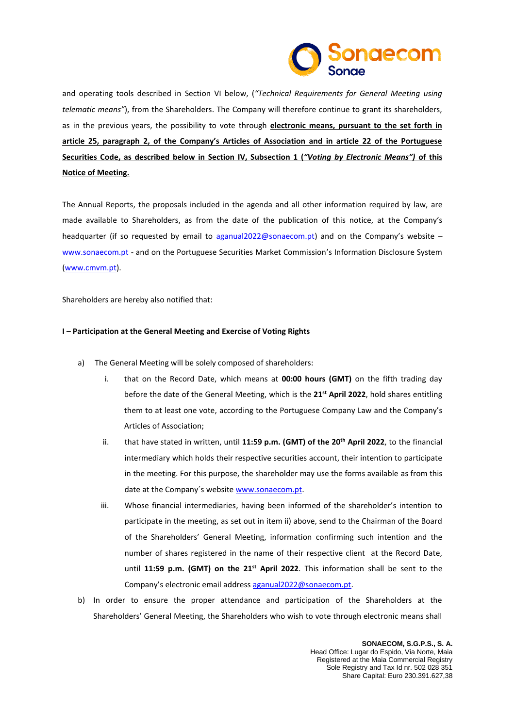

and operating tools described in Section VI below, (*"Technical Requirements for General Meeting using telematic means"*), from the Shareholders. The Company will therefore continue to grant its shareholders, as in the previous years, the possibility to vote through **electronic means, pursuant to the set forth in article 25, paragraph 2, of the Company's Articles of Association and in article 22 of the Portuguese Securities Code, as described below in Section IV, Subsection 1 (***"Voting by Electronic Means")* **of this Notice of Meeting.**

The Annual Reports, the proposals included in the agenda and all other information required by law, are made available to Shareholders, as from the date of the publication of this notice, at the Company's headquarter (if so requested by email to [aganual2022@sonaecom.pt\)](mailto:aganual2022@sonaecom.pt) and on the Company's website [www.sonaecom.pt](http://www.sonaecom.pt/) - and on the Portuguese Securities Market Commission's Information Disclosure System [\(www.cmvm.pt\)](http://www.cmvm.pt/).

Shareholders are hereby also notified that:

## **I – Participation at the General Meeting and Exercise of Voting Rights**

- a) The General Meeting will be solely composed of shareholders:
	- i. that on the Record Date, which means at **00:00 hours (GMT)** on the fifth trading day before the date of the General Meeting, which is the 21<sup>st</sup> April 2022, hold shares entitling them to at least one vote, according to the Portuguese Company Law and the Company's Articles of Association;
	- ii. that have stated in written, until 11:59 p.m. (GMT) of the 20<sup>th</sup> April 2022, to the financial intermediary which holds their respective securities account, their intention to participate in the meeting. For this purpose, the shareholder may use the forms available as from this date at the Company´s website [www.sonaecom.pt.](http://www.sonaecom.pt/)
	- iii. Whose financial intermediaries, having been informed of the shareholder's intention to participate in the meeting, as set out in item ii) above, send to the Chairman of the Board of the Shareholders' General Meeting, information confirming such intention and the number of shares registered in the name of their respective client at the Record Date, until 11:59 p.m. (GMT) on the 21<sup>st</sup> April 2022. This information shall be sent to the Company's electronic email address [aganual2022@sonaecom.pt.](mailto:aganual2022@sonaecom.pt)
- b) In order to ensure the proper attendance and participation of the Shareholders at the Shareholders' General Meeting, the Shareholders who wish to vote through electronic means shall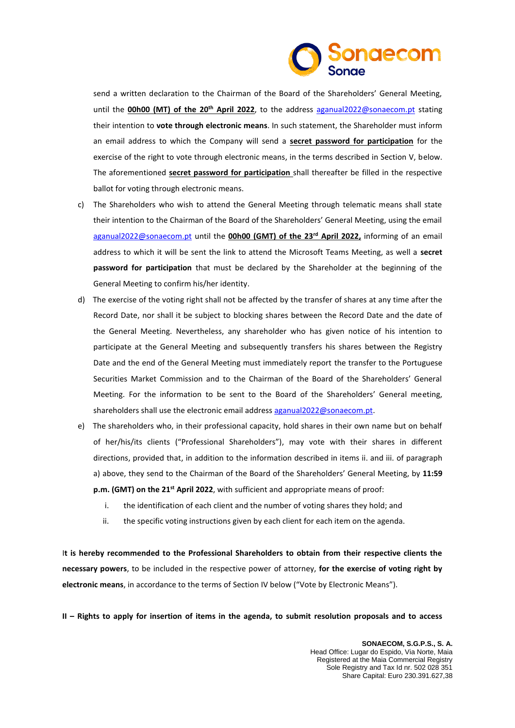

send a written declaration to the Chairman of the Board of the Shareholders' General Meeting, until the **00h00 (MT) of the 20th April 2022**, to the address [aganual2022@sonaecom.pt](mailto:aganual2022@sonaecom.pt) stating their intention to **vote through electronic means**. In such statement, the Shareholder must inform an email address to which the Company will send a **secret password for participation** for the exercise of the right to vote through electronic means, in the terms described in Section V, below. The aforementioned **secret password for participation** shall thereafter be filled in the respective ballot for voting through electronic means.

- c) The Shareholders who wish to attend the General Meeting through telematic means shall state their intention to the Chairman of the Board of the Shareholders' General Meeting, using the email [aganual2022@sonaecom.pt](mailto:aganual2022@sonaecom.pt) until the **00h00 (GMT) of the 23rd April 2022,** informing of an email address to which it will be sent the link to attend the Microsoft Teams Meeting, as well a **secret password for participation** that must be declared by the Shareholder at the beginning of the General Meeting to confirm his/her identity.
- d) The exercise of the voting right shall not be affected by the transfer of shares at any time after the Record Date, nor shall it be subject to blocking shares between the Record Date and the date of the General Meeting. Nevertheless, any shareholder who has given notice of his intention to participate at the General Meeting and subsequently transfers his shares between the Registry Date and the end of the General Meeting must immediately report the transfer to the Portuguese Securities Market Commission and to the Chairman of the Board of the Shareholders' General Meeting. For the information to be sent to the Board of the Shareholders' General meeting, shareholders shall use the electronic email address [aganual2022@sonaecom.pt.](mailto:aganual2022@sonaecom.pt)
- e) The shareholders who, in their professional capacity, hold shares in their own name but on behalf of her/his/its clients ("Professional Shareholders"), may vote with their shares in different directions, provided that, in addition to the information described in items ii. and iii. of paragraph a) above, they send to the Chairman of the Board of the Shareholders' General Meeting, by **11:59 p.m. (GMT) on the 21<sup>st</sup> April 2022**, with sufficient and appropriate means of proof:
	- i. the identification of each client and the number of voting shares they hold; and
	- ii. the specific voting instructions given by each client for each item on the agenda.

I**t is hereby recommended to the Professional Shareholders to obtain from their respective clients the necessary powers**, to be included in the respective power of attorney, **for the exercise of voting right by electronic means**, in accordance to the terms of Section IV below ("Vote by Electronic Means").

**II – Rights to apply for insertion of items in the agenda, to submit resolution proposals and to access**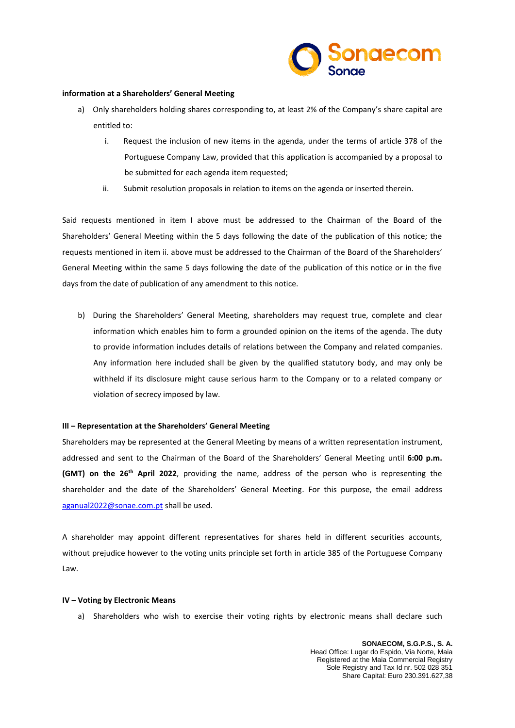

### **information at a Shareholders' General Meeting**

- a) Only shareholders holding shares corresponding to, at least 2% of the Company's share capital are entitled to:
	- i. Request the inclusion of new items in the agenda, under the terms of article 378 of the Portuguese Company Law, provided that this application is accompanied by a proposal to be submitted for each agenda item requested;
	- ii. Submit resolution proposals in relation to items on the agenda or inserted therein.

Said requests mentioned in item I above must be addressed to the Chairman of the Board of the Shareholders' General Meeting within the 5 days following the date of the publication of this notice; the requests mentioned in item ii. above must be addressed to the Chairman of the Board of the Shareholders' General Meeting within the same 5 days following the date of the publication of this notice or in the five days from the date of publication of any amendment to this notice.

b) During the Shareholders' General Meeting, shareholders may request true, complete and clear information which enables him to form a grounded opinion on the items of the agenda. The duty to provide information includes details of relations between the Company and related companies. Any information here included shall be given by the qualified statutory body, and may only be withheld if its disclosure might cause serious harm to the Company or to a related company or violation of secrecy imposed by law.

#### **III – Representation at the Shareholders' General Meeting**

Shareholders may be represented at the General Meeting by means of a written representation instrument, addressed and sent to the Chairman of the Board of the Shareholders' General Meeting until **6:00 p.m.** (GMT) on the 26<sup>th</sup> April 2022, providing the name, address of the person who is representing the shareholder and the date of the Shareholders' General Meeting. For this purpose, the email address [aganual2022@sonae.com.pt](mailto:aganual2022@sonae.com.pt) shall be used.

A shareholder may appoint different representatives for shares held in different securities accounts, without prejudice however to the voting units principle set forth in article 385 of the Portuguese Company Law.

#### **IV – Voting by Electronic Means**

a) Shareholders who wish to exercise their voting rights by electronic means shall declare such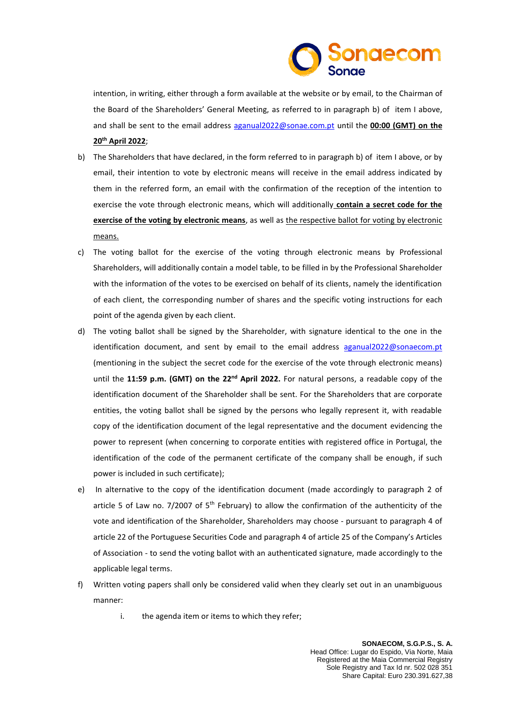

intention, in writing, either through a form available at the website or by email, to the Chairman of the Board of the Shareholders' General Meeting, as referred to in paragraph b) of item I above, and shall be sent to the email address [aganual2022@sonae.com.pt](mailto:aganual2022@sonae.com.pt) until the **00:00 (GMT) on the 20 th April 2022**;

- b) The Shareholders that have declared, in the form referred to in paragraph b) of item I above, or by email, their intention to vote by electronic means will receive in the email address indicated by them in the referred form, an email with the confirmation of the reception of the intention to exercise the vote through electronic means, which will additionally **contain a secret code for the exercise of the voting by electronic means**, as well as the respective ballot for voting by electronic means.
- c) The voting ballot for the exercise of the voting through electronic means by Professional Shareholders, will additionally contain a model table, to be filled in by the Professional Shareholder with the information of the votes to be exercised on behalf of its clients, namely the identification of each client, the corresponding number of shares and the specific voting instructions for each point of the agenda given by each client.
- d) The voting ballot shall be signed by the Shareholder, with signature identical to the one in the identification document, and sent by email to the email address [aganual2022@sonaecom.pt](mailto:aganual2022@sonaecom.pt) (mentioning in the subject the secret code for the exercise of the vote through electronic means) until the 11:59 p.m. (GMT) on the 22<sup>nd</sup> April 2022. For natural persons, a readable copy of the identification document of the Shareholder shall be sent. For the Shareholders that are corporate entities, the voting ballot shall be signed by the persons who legally represent it, with readable copy of the identification document of the legal representative and the document evidencing the power to represent (when concerning to corporate entities with registered office in Portugal, the identification of the code of the permanent certificate of the company shall be enough, if such power is included in such certificate);
- e) In alternative to the copy of the identification document (made accordingly to paragraph 2 of article 5 of Law no. 7/2007 of  $5<sup>th</sup>$  February) to allow the confirmation of the authenticity of the vote and identification of the Shareholder, Shareholders may choose - pursuant to paragraph 4 of article 22 of the Portuguese Securities Code and paragraph 4 of article 25 of the Company's Articles of Association - to send the voting ballot with an authenticated signature, made accordingly to the applicable legal terms.
- f) Written voting papers shall only be considered valid when they clearly set out in an unambiguous manner:
	- i. the agenda item or items to which they refer;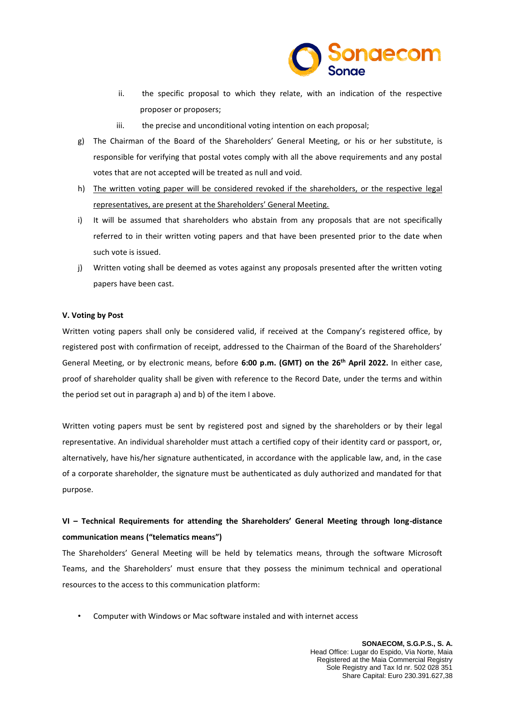

- ii. the specific proposal to which they relate, with an indication of the respective proposer or proposers;
- iii. the precise and unconditional voting intention on each proposal;
- g) The Chairman of the Board of the Shareholders' General Meeting, or his or her substitute, is responsible for verifying that postal votes comply with all the above requirements and any postal votes that are not accepted will be treated as null and void.
- h) The written voting paper will be considered revoked if the shareholders, or the respective legal representatives, are present at the Shareholders' General Meeting.
- i) It will be assumed that shareholders who abstain from any proposals that are not specifically referred to in their written voting papers and that have been presented prior to the date when such vote is issued.
- j) Written voting shall be deemed as votes against any proposals presented after the written voting papers have been cast.

# **V. Voting by Post**

Written voting papers shall only be considered valid, if received at the Company's registered office, by registered post with confirmation of receipt, addressed to the Chairman of the Board of the Shareholders' General Meeting, or by electronic means, before **6:00 p.m. (GMT) on the 26 th April 2022.** In either case, proof of shareholder quality shall be given with reference to the Record Date, under the terms and within the period set out in paragraph a) and b) of the item I above.

Written voting papers must be sent by registered post and signed by the shareholders or by their legal representative. An individual shareholder must attach a certified copy of their identity card or passport, or, alternatively, have his/her signature authenticated, in accordance with the applicable law, and, in the case of a corporate shareholder, the signature must be authenticated as duly authorized and mandated for that purpose.

# **VI – Technical Requirements for attending the Shareholders' General Meeting through long-distance communication means ("telematics means")**

The Shareholders' General Meeting will be held by telematics means, through the software Microsoft Teams, and the Shareholders' must ensure that they possess the minimum technical and operational resources to the access to this communication platform:

• Computer with Windows or Mac software instaled and with internet access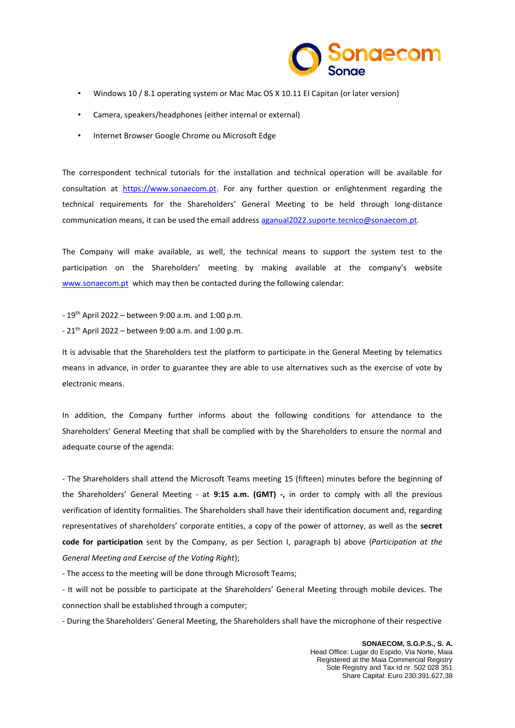

- Windows 10 / 8.1 operating system or Mac Mac OS X 10.11 El Capitan (or later version)
- Camera, speakers/headphones (either internal or external)
- Internet Browser Google Chrome ou Microsoft Edge

The correspondent technical tutorials for the installation and technical operation will be available for consultation at [https://www.sonaecom.pt.](https://www.sonaecom.pt/) For any further question or enlightenment regarding the technical requirements for the Shareholders' General Meeting to be held through long-distance communication means, it can be used the email address [aganual2022.suporte.tecnico@sonaecom.](mailto:aganual2022.suporte.tecnico@sonaecom)pt.

The Company will make available, as well, the technical means to support the system test to the participation on the Shareholders' meeting by making available at the company's website [www.sonaecom.pt](http://www.sonaecom.pt/) which may then be contacted during the following calendar:

- $-19^{th}$  April 2022 between 9:00 a.m. and 1:00 p.m.
- $-21^{th}$  April 2022 between 9:00 a.m. and 1:00 p.m.

It is advisable that the Shareholders test the platform to participate in the General Meeting by telematics means in advance, in order to guarantee they are able to use alternatives such as the exercise of vote by electronic means.

In addition, the Company further informs about the following conditions for attendance to the Shareholders' General Meeting that shall be complied with by the Shareholders to ensure the normal and adequate course of the agenda:

- The Shareholders shall attend the Microsoft Teams meeting 15 (fifteen) minutes before the beginning of the Shareholders' General Meeting - at **9:15 a.m. (GMT) -,** in order to comply with all the previous verification of identity formalities. The Shareholders shall have their identification document and, regarding representatives of shareholders' corporate entities, a copy of the power of attorney, as well as the **secret code for participation** sent by the Company, as per Section I, paragraph b) above (*Participation at the General Meeting and Exercise of the Voting Right*);

- The access to the meeting will be done through Microsoft Teams;

- It will not be possible to participate at the Shareholders' General Meeting through mobile devices. The connection shall be established through a computer;

- During the Shareholders' General Meeting, the Shareholders shall have the microphone of their respective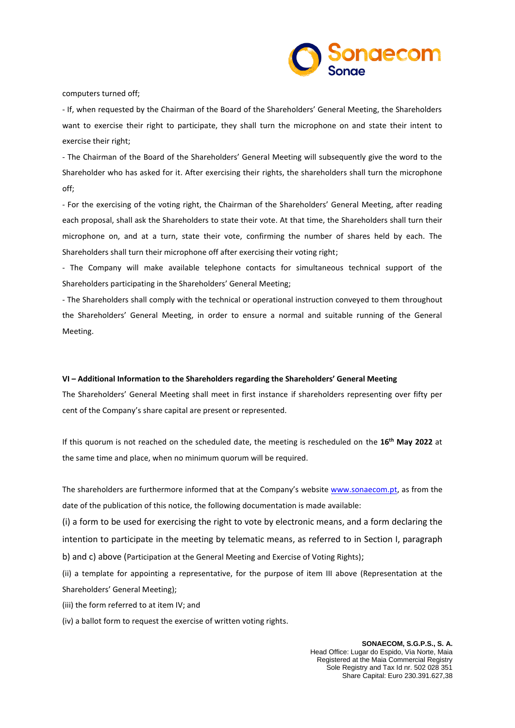

computers turned off;

- If, when requested by the Chairman of the Board of the Shareholders' General Meeting, the Shareholders want to exercise their right to participate, they shall turn the microphone on and state their intent to exercise their right;

- The Chairman of the Board of the Shareholders' General Meeting will subsequently give the word to the Shareholder who has asked for it. After exercising their rights, the shareholders shall turn the microphone off;

- For the exercising of the voting right, the Chairman of the Shareholders' General Meeting, after reading each proposal, shall ask the Shareholders to state their vote. At that time, the Shareholders shall turn their microphone on, and at a turn, state their vote, confirming the number of shares held by each. The Shareholders shall turn their microphone off after exercising their voting right;

- The Company will make available telephone contacts for simultaneous technical support of the Shareholders participating in the Shareholders' General Meeting;

- The Shareholders shall comply with the technical or operational instruction conveyed to them throughout the Shareholders' General Meeting, in order to ensure a normal and suitable running of the General Meeting.

### **VI – Additional Information to the Shareholders regarding the Shareholders' General Meeting**

The Shareholders' General Meeting shall meet in first instance if shareholders representing over fifty per cent of the Company's share capital are present or represented.

If this quorum is not reached on the scheduled date, the meeting is rescheduled on the **16 th May 2022** at the same time and place, when no minimum quorum will be required.

The shareholders are furthermore informed that at the Company's websit[e www.sonaecom.pt,](http://www.sonaecom.pt/) as from the date of the publication of this notice, the following documentation is made available:

(i) a form to be used for exercising the right to vote by electronic means, and a form declaring the intention to participate in the meeting by telematic means, as referred to in Section I, paragraph b) and c) above (Participation at the General Meeting and Exercise of Voting Rights);

(ii) a template for appointing a representative, for the purpose of item III above (Representation at the Shareholders' General Meeting);

(iii) the form referred to at item IV; and

(iv) a ballot form to request the exercise of written voting rights.